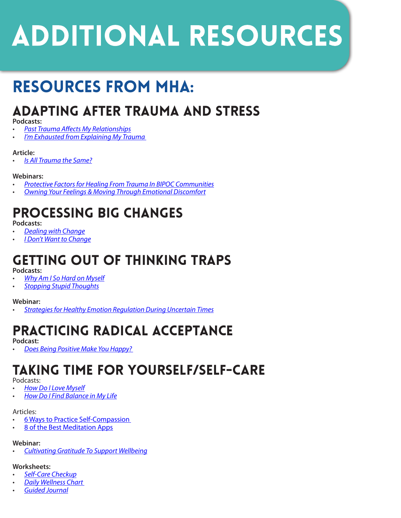# **ADDITIONAL RESOURCES**

## resources from MHA:

### Adapting After Trauma and Stress

#### **Podcasts:**

- *• [Past Trauma Affects My Relationships](https://mentalhealthamerica.podbean.com/e/past-trauma-effects-my-relationships/ )*
- *• [I'm Exhausted from Explaining My Trauma](https://mentalhealthamerica.podbean.com/e/i-am-exhausted-from-explaining-my-trauma/ )*

#### **Article:**

*• [Is All Trauma the Same?](https://screening.mhanational.org/content/all-trauma-same/ )*

### **Webinars:**

- *• [Protective Factors for Healing From Trauma In BIPOC Communities](https://www.mhanational.org/events/protective-factors-healing-trauma-bipoc-communities )*
- *• [Owning Your Feelings & Moving Through Emotional Discomfort](https://www.mhanational.org/events/owning-your-feelings-moving-through-emotional-discomfort )*

### Processing Big Changes

**Podcasts:**

- *• [Dealing with Change](https://mentalhealthamerica.podbean.com/e/dealing-with-change-1601481858/)*
- *• [I Don't Want to Change](https://mentalhealthamerica.podbean.com/e/i-don-t-want-to-change/ )*

### Getting Out of Thinking Traps **Podcasts:**

- *• [Why Am I So Hard on Myself](https://mentalhealthamerica.podbean.com/e/why-am-i-so-hard-on-myself/ )*
- *• [Stopping Stupid Thoughts](https://mentalhealthamerica.podbean.com/e/stopping-stupid-thoughts )*

#### **Webinar:**

*• [Strategies for Healthy Emotion Regulation During Uncertain Times](https://www.mhanational.org/events/strategies-healthy-emotion-regulation-during-uncertain-times )*

### Practicing Radical Acceptance

**Podcast:** 

*• [Does Being Positive Make You Happy?](○	https://mentalhealthamerica.podbean.com/e/does-being-positive-make-you-happy/)* 

### Taking Time for Yourself/Self-Care

#### Podcasts:

- *• [How Do I Love Myself](https://mentalhealthamerica.podbean.com/e/how-do-i-love-myself-1613579190/ )*
- *• [How Do I Find Balance in My Life](https://mentalhealthamerica.podbean.com/e/how-do-i-find-balance-in-my-life/ 
)*

#### Articles:

- [6 Ways to Practice Self-Compassion](https://screening.mhanational.org/content/6-ways-to-practice-self-compassion/)
- [8 of the Best Meditation Apps](https://screening.mhanational.org/content/8-best-meditation-apps/)

#### **Webinar:**

*• [Cultivating Gratitude To Support Wellbeing](https://www.mhanational.org/events/cultivating-gratitude-support-wellbeing )*

#### **Worksheets:**

- *• [Self-Care Checkup](○	https://screening.mhanational.org/content/self-care-checkup/ )*
- *• [Daily Wellness Chart](https://screening.mhanational.org/content/daily-wellness-chart-worksheet/)*
- *• [Guided Journal](https://screening.mhanational.org/content/guided-journal/ )*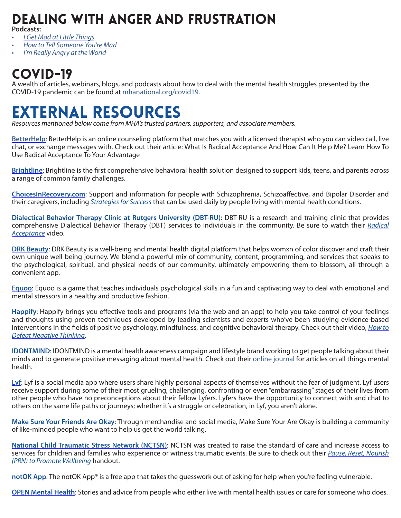### Dealing with Anger and Frustration

**Podcasts:** 

- *• [I Get Mad at Little Things](https://mentalhealthamerica.podbean.com/e/i-get-mad-at-little-things/ )*
- *• [How to Tell Someone You're Mad](https://mentalhealthamerica.podbean.com/e/tell-someone-youre-mad/ )*
- *• [I'm Really Angry at the World](https://mentalhealthamerica.podbean.com/e/i-m-really-angry-at-the-world/ )*

### COVID-19

A wealth of articles, webinars, blogs, and podcasts about how to deal with the mental health struggles presented by the COVID-19 pandemic can be found at [mhanational.org/covid19](https://mhanational.org/covid19).

### External resources

*Resources mentioned below come from MHA's trusted partners, supporters, and associate members.*

**[BetterHelp](https://www.betterhelp.com/)**: BetterHelp is an online counseling platform that matches you with a licensed therapist who you can video call, live chat, or exchange messages with. Check out their article: What Is Radical Acceptance And How Can It Help Me? Learn How To Use Radical Acceptance To Your Advantage

**[Brightline](https://hellobrightline.com/)**: Brightline is the first comprehensive behavioral health solution designed to support kids, teens, and parents across a range of common family challenges.

**[ChoicesInRecovery.com](https://www.choicesinrecovery.com/)**: Support and information for people with Schizophrenia, Schizoaffective, and Bipolar Disorder and their caregivers, including *[Strategies for Success](https://www.choicesinrecovery.com/strategies-for-success.html)* that can be used daily by people living with mental health conditions.

**[Dialectical Behavior Therapy Clinic at Rutgers University \(DBT-RU\)](https://gsapp.rutgers.edu/centers-clinical-services/DBT)**: DBT-RU is a research and training clinic that provides comprehensive Dialectical Behavior Therapy (DBT) services to individuals in the community. Be sure to watch their *[Radical](https://www.youtube.com/watch?v=iVwIVwGOnpo)  [Acceptance](https://www.youtube.com/watch?v=iVwIVwGOnpo)* video.

**[DRK Beauty](https://thisisdrkbeauty.com/drk-healing/)**: DRK Beauty is a well-being and mental health digital platform that helps womxn of color discover and craft their own unique well-being journey. We blend a powerful mix of community, content, programming, and services that speaks to the psychological, spiritual, and physical needs of our community, ultimately empowering them to blossom, all through a convenient app.

**[Equoo](http://www.equoogame.com/)**: Equoo is a game that teaches individuals psychological skills in a fun and captivating way to deal with emotional and mental stressors in a healthy and productive fashion.

**[Happify](https://www.happify.com/)**: Happify brings you effective tools and programs (via the web and an app) to help you take control of your feelings and thoughts using proven techniques developed by leading scientists and experts who've been studying evidence-based interventions in the fields of positive psychology, mindfulness, and cognitive behavioral therapy. Check out their video, *[How to](https://www.youtube.com/watch?v=_XLY_XXBQWE ) [Defeat Negative Thinking](https://www.youtube.com/watch?v=_XLY_XXBQWE )*.

**[IDONTMIND](https://idontmind.com/)**: IDONTMIND is a mental health awareness campaign and lifestyle brand working to get people talking about their minds and to generate positive messaging about mental health. Check out their [online journal](https://idontmind.com/journal) for articles on all things mental health.

**[Lyf](https://lyf.app/)**: Lyf is a social media app where users share highly personal aspects of themselves without the fear of judgment. Lyf users receive support during some of their most grueling, challenging, confronting or even "embarrassing" stages of their lives from other people who have no preconceptions about their fellow Lyfers. Lyfers have the opportunity to connect with and chat to others on the same life paths or journeys; whether it's a struggle or celebration, in Lyf, you aren't alone.

**[Make Sure Your Friends Are Okay](https://makesureyourfriendsareokay.com/)**: Through merchandise and social media, Make Sure Your Are Okay is building a community of like-minded people who want to help us get the world talking.

**[National Child Traumatic Stress Network \(NCTSN\)](https://www.nctsn.org/)**: NCTSN was created to raise the standard of care and increase access to services for children and families who experience or witness traumatic events. Be sure to check out their *[Pause, Reset, Nourish](https://www.nctsn.org/sites/default/files/resources/fact-sheet/pause_reset_nourish_to_promote_wellbeing_use_as_needed_to_care_for_your_wellness.pdf) [\(PRN\) to Promote Wellbeing](https://www.nctsn.org/sites/default/files/resources/fact-sheet/pause_reset_nourish_to_promote_wellbeing_use_as_needed_to_care_for_your_wellness.pdf)* handout.

**[notOK App](https://www.notokapp.com/)**: The notOK App<sup>®</sup> is a free app that takes the guesswork out of asking for help when you're feeling vulnerable.

**OPEN Mental Health**: Stories and advice from people who either live with mental health issues or care for someone who does.